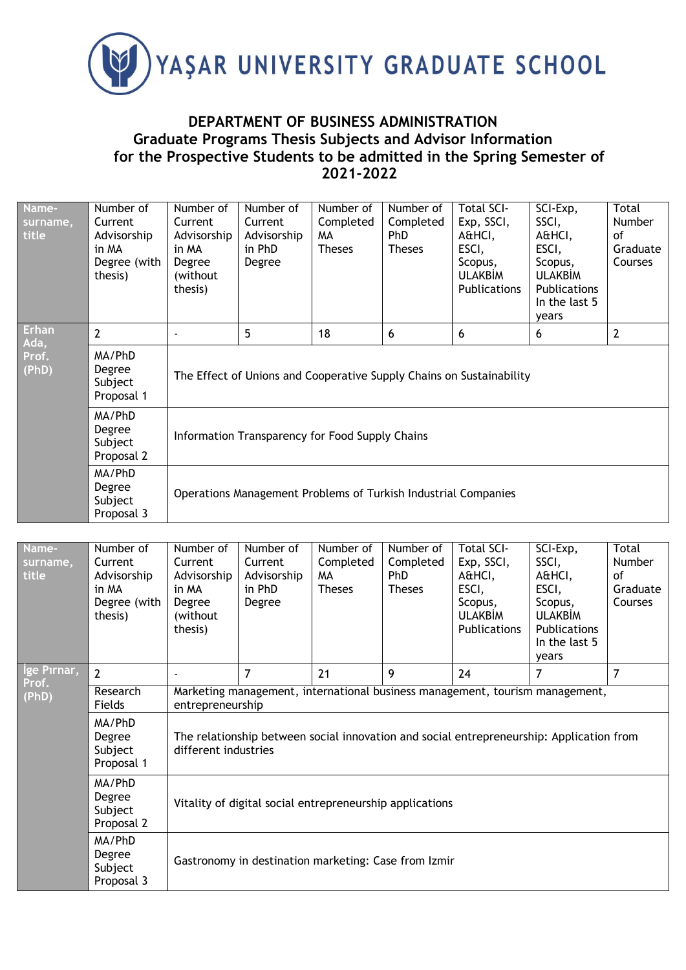

## **DEPARTMENT OF BUSINESS ADMINISTRATION Graduate Programs Thesis Subjects and Advisor Information for the Prospective Students to be admitted in the Spring Semester of 2021-2022**

| Name-<br>surname,<br>title | Number of<br>Current<br>Advisorship<br>in MA<br>Degree (with<br>thesis) | Number of<br>Current<br>Advisorship<br>in MA<br>Degree<br>(without<br>thesis) | Number of<br>Current<br>Advisorship<br>in PhD<br>Degree | Number of<br>Completed<br>MA.<br><b>Theses</b> | Number of<br>Completed<br><b>PhD</b><br><b>Theses</b> | <b>Total SCI-</b><br>Exp, SSCI,<br>A&HCI,<br>ESCI,<br>Scopus,<br><b>ULAKBİM</b><br><b>Publications</b> | SCI-Exp,<br>SSCI,<br>A&HCI,<br>ESCI,<br>Scopus,<br><b>ULAKBIM</b><br><b>Publications</b><br>In the last 5<br>years | Total<br><b>Number</b><br>οf<br>Graduate<br>Courses |  |  |
|----------------------------|-------------------------------------------------------------------------|-------------------------------------------------------------------------------|---------------------------------------------------------|------------------------------------------------|-------------------------------------------------------|--------------------------------------------------------------------------------------------------------|--------------------------------------------------------------------------------------------------------------------|-----------------------------------------------------|--|--|
| <b>Erhan</b><br>Ada,       | 2                                                                       |                                                                               | 5                                                       | 18                                             | 6                                                     | 6                                                                                                      | 6                                                                                                                  | $\overline{2}$                                      |  |  |
| Prof.<br>(PhD)             | MA/PhD<br>Degree<br>Subject<br>Proposal 1                               | The Effect of Unions and Cooperative Supply Chains on Sustainability          |                                                         |                                                |                                                       |                                                                                                        |                                                                                                                    |                                                     |  |  |
|                            | MA/PhD<br>Degree<br>Subject<br>Proposal 2                               | Information Transparency for Food Supply Chains                               |                                                         |                                                |                                                       |                                                                                                        |                                                                                                                    |                                                     |  |  |
|                            | MA/PhD<br>Degree<br>Subject<br>Proposal 3                               | Operations Management Problems of Turkish Industrial Companies                |                                                         |                                                |                                                       |                                                                                                        |                                                                                                                    |                                                     |  |  |

| Name-<br>surname,<br>title | Number of<br>Current<br>Advisorship<br>in MA<br>Degree (with<br>thesis) | Number of<br>Current<br>Advisorship<br>in MA<br>Degree<br>(without)<br>thesis)                                                                                               | Number of<br>Current<br>Advisorship<br>in PhD<br>Degree                                          | Number of<br>Completed<br>MA.<br><b>Theses</b> | Number of<br>Completed<br><b>PhD</b><br><b>Theses</b> | <b>Total SCI-</b><br>Exp, SSCI,<br>A&HCI,<br>ESCI,<br>Scopus,<br><b>ULAKBIM</b><br>Publications | SCI-Exp,<br>SSCI,<br>A&HCI,<br>ESCI,<br>Scopus,<br><b>ULAKBIM</b><br><b>Publications</b><br>In the last 5<br>years | Total<br><b>Number</b><br>οf<br>Graduate<br>Courses |  |  |
|----------------------------|-------------------------------------------------------------------------|------------------------------------------------------------------------------------------------------------------------------------------------------------------------------|--------------------------------------------------------------------------------------------------|------------------------------------------------|-------------------------------------------------------|-------------------------------------------------------------------------------------------------|--------------------------------------------------------------------------------------------------------------------|-----------------------------------------------------|--|--|
| Ige Pırnar,<br>Prof.       | $\overline{2}$                                                          |                                                                                                                                                                              | $\overline{7}$                                                                                   | 21                                             | 9                                                     | 24                                                                                              | 7                                                                                                                  | $\overline{7}$                                      |  |  |
| (PhD)                      | Research<br>Fields                                                      |                                                                                                                                                                              | Marketing management, international business management, tourism management,<br>entrepreneurship |                                                |                                                       |                                                                                                 |                                                                                                                    |                                                     |  |  |
|                            | MA/PhD<br>Degree<br>Subject<br>Proposal 1                               | The relationship between social innovation and social entrepreneurship: Application from<br>different industries<br>Vitality of digital social entrepreneurship applications |                                                                                                  |                                                |                                                       |                                                                                                 |                                                                                                                    |                                                     |  |  |
|                            | MA/PhD<br>Degree<br>Subject<br>Proposal 2                               |                                                                                                                                                                              |                                                                                                  |                                                |                                                       |                                                                                                 |                                                                                                                    |                                                     |  |  |
|                            | MA/PhD<br>Degree<br>Subject<br>Proposal 3                               | Gastronomy in destination marketing: Case from Izmir                                                                                                                         |                                                                                                  |                                                |                                                       |                                                                                                 |                                                                                                                    |                                                     |  |  |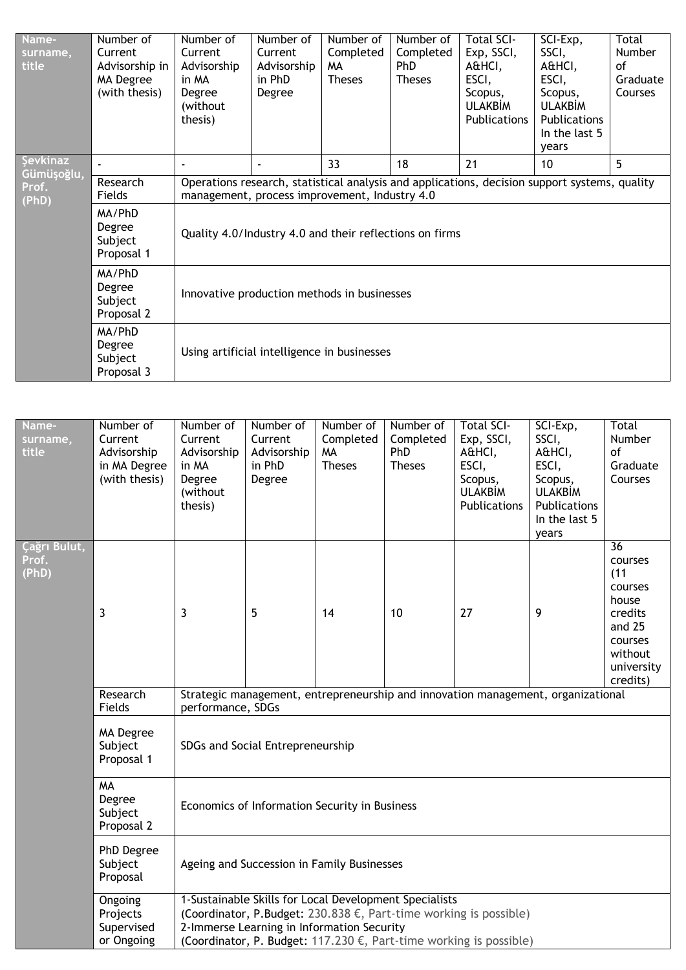| Name-<br>surname,<br>title                                                               | Number of<br>Current<br>Advisorship in<br>MA Degree<br>(with thesis) | Number of<br>Current<br>Advisorship<br>in MA<br>Degree<br>(without)<br>thesis) | Number of<br>Current<br>Advisorship<br>in PhD<br>Degree                                                                                        | Number of<br>Completed<br>MA.<br><b>Theses</b> | Number of<br>Completed<br><b>PhD</b><br><b>Theses</b> | <b>Total SCI-</b><br>Exp, SSCI,<br>A&HCI,<br>ESCI,<br>Scopus,<br><b>ULAKBIM</b><br><b>Publications</b> | SCI-Exp,<br>SSCI,<br>A&HCI,<br>ESCI,<br>Scopus,<br><b>ULAKBIM</b><br><b>Publications</b><br>In the last 5<br>vears | Total<br><b>Number</b><br>οf<br>Graduate<br>Courses |  |  |
|------------------------------------------------------------------------------------------|----------------------------------------------------------------------|--------------------------------------------------------------------------------|------------------------------------------------------------------------------------------------------------------------------------------------|------------------------------------------------|-------------------------------------------------------|--------------------------------------------------------------------------------------------------------|--------------------------------------------------------------------------------------------------------------------|-----------------------------------------------------|--|--|
| <b>Şevkinaz</b><br>Gümüşoğlu,                                                            |                                                                      |                                                                                |                                                                                                                                                | 33                                             | 18                                                    | 21                                                                                                     | 10                                                                                                                 | 5                                                   |  |  |
| Prof.<br>(PhD)                                                                           | Research<br>Fields                                                   |                                                                                | Operations research, statistical analysis and applications, decision support systems, quality<br>management, process improvement, Industry 4.0 |                                                |                                                       |                                                                                                        |                                                                                                                    |                                                     |  |  |
|                                                                                          | MA/PhD<br>Degree<br>Subject<br>Proposal 1                            | Quality 4.0/Industry 4.0 and their reflections on firms                        |                                                                                                                                                |                                                |                                                       |                                                                                                        |                                                                                                                    |                                                     |  |  |
| MA/PhD<br>Degree<br>Innovative production methods in businesses<br>Subject<br>Proposal 2 |                                                                      |                                                                                |                                                                                                                                                |                                                |                                                       |                                                                                                        |                                                                                                                    |                                                     |  |  |
|                                                                                          | MA/PhD<br>Degree<br>Subject<br>Proposal 3                            | Using artificial intelligence in businesses                                    |                                                                                                                                                |                                                |                                                       |                                                                                                        |                                                                                                                    |                                                     |  |  |

| Name-<br>surname,<br>title     | Number of<br>Current<br>Advisorship<br>in MA Degree<br>(with thesis) | Number of<br>Current<br>Advisorship<br>in MA<br>Degree<br>(without<br>thesis) | Number of<br>Current<br>Advisorship<br>in PhD<br>Degree                                              | Number of<br>Completed<br><b>MA</b><br><b>Theses</b> | Number of<br>Completed<br>PhD<br><b>Theses</b> | <b>Total SCI-</b><br>Exp, SSCI,<br>A&HCI,<br>ESCI,<br>Scopus,<br><b>ULAKBİM</b><br>Publications                                                   | SCI-Exp,<br>SSCI,<br>A&HCI,<br>ESCI,<br>Scopus,<br><b>ULAKBİM</b><br>Publications<br>In the last 5<br>years | Total<br>Number<br>οf<br>Graduate<br>Courses                                                                                |  |  |
|--------------------------------|----------------------------------------------------------------------|-------------------------------------------------------------------------------|------------------------------------------------------------------------------------------------------|------------------------------------------------------|------------------------------------------------|---------------------------------------------------------------------------------------------------------------------------------------------------|-------------------------------------------------------------------------------------------------------------|-----------------------------------------------------------------------------------------------------------------------------|--|--|
| Çağrı Bulut,<br>Prof.<br>(PhD) | 3                                                                    | 3                                                                             | 5                                                                                                    | 14                                                   | 10                                             | 27                                                                                                                                                | 9                                                                                                           | $\overline{36}$<br>courses<br>(11)<br>courses<br>house<br>credits<br>and 25<br>courses<br>without<br>university<br>credits) |  |  |
|                                | Research<br>Fields                                                   | performance, SDGs                                                             |                                                                                                      |                                                      |                                                | Strategic management, entrepreneurship and innovation management, organizational                                                                  |                                                                                                             |                                                                                                                             |  |  |
|                                | MA Degree<br>Subject<br>Proposal 1                                   | SDGs and Social Entrepreneurship                                              |                                                                                                      |                                                      |                                                |                                                                                                                                                   |                                                                                                             |                                                                                                                             |  |  |
|                                | <b>MA</b><br>Degree<br>Subject<br>Proposal 2                         | Economics of Information Security in Business                                 |                                                                                                      |                                                      |                                                |                                                                                                                                                   |                                                                                                             |                                                                                                                             |  |  |
|                                | PhD Degree<br>Subject<br>Proposal                                    |                                                                               | Ageing and Succession in Family Businesses                                                           |                                                      |                                                |                                                                                                                                                   |                                                                                                             |                                                                                                                             |  |  |
|                                | Ongoing<br>Projects<br>Supervised<br>or Ongoing                      |                                                                               | 1-Sustainable Skills for Local Development Specialists<br>2-Immerse Learning in Information Security |                                                      |                                                | (Coordinator, P.Budget: 230.838 €, Part-time working is possible)<br>(Coordinator, P. Budget: 117.230 $\epsilon$ , Part-time working is possible) |                                                                                                             |                                                                                                                             |  |  |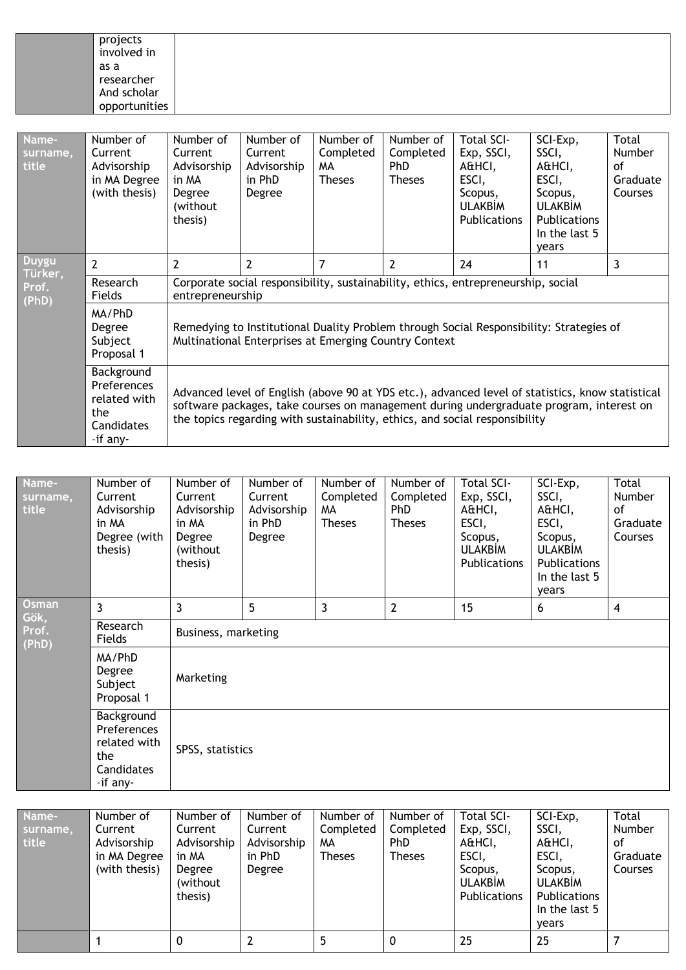| projects<br>involved in |  |
|-------------------------|--|
| as a                    |  |
| researcher              |  |
| And scholar             |  |
| opportunities           |  |

| Name-<br>surname,<br>title | Number of<br>Current<br>Advisorship<br>in MA Degree<br>(with thesis)       | Number of<br>Current<br>Advisorship<br>in MA<br>Degree<br>(without)<br>thesis)                                                                   | Number of<br>Current<br>Advisorship<br>in PhD<br>Degree                                                                                                                                                                                                                    | Number of<br>Completed<br>MA.<br><b>Theses</b> | Number of<br>Completed<br>PhD.<br><b>Theses</b> | <b>Total SCI-</b><br>Exp, SSCI,<br>A&HCI,<br>ESCI,<br>Scopus,<br><b>ULAKBIM</b><br>Publications | SCI-Exp,<br>SSCI,<br>A&HCI,<br>ESCI,<br>Scopus,<br><b>ULAKBIM</b><br><b>Publications</b><br>In the last 5<br>years | Total<br><b>Number</b><br>οf<br>Graduate<br>Courses |  |  |  |
|----------------------------|----------------------------------------------------------------------------|--------------------------------------------------------------------------------------------------------------------------------------------------|----------------------------------------------------------------------------------------------------------------------------------------------------------------------------------------------------------------------------------------------------------------------------|------------------------------------------------|-------------------------------------------------|-------------------------------------------------------------------------------------------------|--------------------------------------------------------------------------------------------------------------------|-----------------------------------------------------|--|--|--|
| <b>Duygu</b><br>Türker,    | $\overline{2}$                                                             | $\overline{2}$                                                                                                                                   | $\overline{2}$                                                                                                                                                                                                                                                             | $\overline{7}$                                 | $\overline{2}$                                  | 24                                                                                              | 11                                                                                                                 | 3                                                   |  |  |  |
| Prof.                      | Research<br>Fields                                                         | Corporate social responsibility, sustainability, ethics, entrepreneurship, social<br>entrepreneurship                                            |                                                                                                                                                                                                                                                                            |                                                |                                                 |                                                                                                 |                                                                                                                    |                                                     |  |  |  |
| (PhD)                      | MA/PhD<br>Degree<br>Subject<br>Proposal 1                                  | Remedying to Institutional Duality Problem through Social Responsibility: Strategies of<br>Multinational Enterprises at Emerging Country Context |                                                                                                                                                                                                                                                                            |                                                |                                                 |                                                                                                 |                                                                                                                    |                                                     |  |  |  |
|                            | Background<br>Preferences<br>related with<br>the<br>Candidates<br>-if any- |                                                                                                                                                  | Advanced level of English (above 90 at YDS etc.), advanced level of statistics, know statistical<br>software packages, take courses on management during undergraduate program, interest on<br>the topics regarding with sustainability, ethics, and social responsibility |                                                |                                                 |                                                                                                 |                                                                                                                    |                                                     |  |  |  |

| Name-<br>surname,<br>title      | Number of<br>Current<br>Advisorship<br>in MA<br>Degree (with<br>thesis)    | Number of<br>Current<br>Advisorship<br>in MA<br>Degree<br>(without<br>thesis) | Number of<br>Current<br>Advisorship<br>in PhD<br>Degree | Number of<br>Completed<br>MA.<br><b>Theses</b> | Number of<br>Completed<br>PhD<br><b>Theses</b> | <b>Total SCI-</b><br>Exp, SSCI,<br>A&HCI,<br>ESCI,<br>Scopus,<br><b>ULAKBİM</b><br>Publications | SCI-Exp,<br>SSCI,<br>A&HCI,<br>ESCI,<br>Scopus,<br><b>ULAKBİM</b><br>Publications<br>In the last 5<br>years | <b>Total</b><br><b>Number</b><br>of<br>Graduate<br>Courses |  |  |
|---------------------------------|----------------------------------------------------------------------------|-------------------------------------------------------------------------------|---------------------------------------------------------|------------------------------------------------|------------------------------------------------|-------------------------------------------------------------------------------------------------|-------------------------------------------------------------------------------------------------------------|------------------------------------------------------------|--|--|
| Osman<br>Gök,<br>Prof.<br>(PhD) | 3                                                                          | 3                                                                             | 5                                                       | 3                                              | 2                                              | 15                                                                                              | 6                                                                                                           | $\overline{4}$                                             |  |  |
|                                 | Research<br>Fields                                                         | Business, marketing                                                           |                                                         |                                                |                                                |                                                                                                 |                                                                                                             |                                                            |  |  |
|                                 | MA/PhD<br>Degree<br>Subject<br>Proposal 1                                  | Marketing                                                                     |                                                         |                                                |                                                |                                                                                                 |                                                                                                             |                                                            |  |  |
|                                 | Background<br>Preferences<br>related with<br>the<br>Candidates<br>-if any- | SPSS, statistics                                                              |                                                         |                                                |                                                |                                                                                                 |                                                                                                             |                                                            |  |  |

| Name-<br>surname,<br>title | Number of<br>Current<br>Advisorship<br>in MA Degree<br>(with thesis) | Number of<br>Current<br>Advisorship<br>in MA<br>Degree<br>(without)<br>thesis) | Number of<br>Current<br>Advisorship<br>in PhD<br>Degree | Number of<br>Completed<br>MА<br><b>Theses</b> | Number of<br>Completed<br><b>PhD</b><br><b>Theses</b> | <b>Total SCI-</b><br>Exp, SSCI,<br>A&HCI,<br>ESCI,<br>Scopus,<br><b>ULAKBIM</b><br>Publications | SCI-Exp,<br>SSCI,<br>A&HCI,<br>ESCI,<br>Scopus,<br><b>ULAKBIM</b><br>Publications<br>In the last 5<br>years | Total<br>Number<br>0f<br>Graduate<br><b>Courses</b> |
|----------------------------|----------------------------------------------------------------------|--------------------------------------------------------------------------------|---------------------------------------------------------|-----------------------------------------------|-------------------------------------------------------|-------------------------------------------------------------------------------------------------|-------------------------------------------------------------------------------------------------------------|-----------------------------------------------------|
|                            |                                                                      | 0                                                                              |                                                         |                                               | 0                                                     | 25                                                                                              | 25                                                                                                          |                                                     |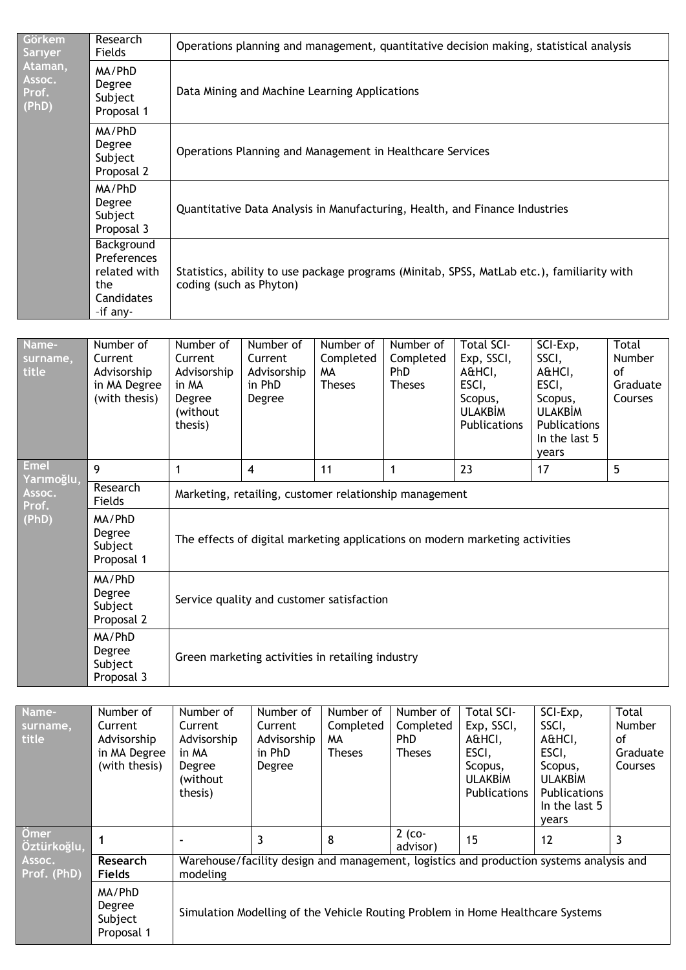| Görkem,<br>Sariyer                  | Research<br><b>Fields</b>                                                  | Operations planning and management, quantitative decision making, statistical analysis                                |
|-------------------------------------|----------------------------------------------------------------------------|-----------------------------------------------------------------------------------------------------------------------|
| Ataman,<br>Assoc.<br>Prof.<br>(PhD) | MA/PhD<br>Degree<br>Subject<br>Proposal 1                                  | Data Mining and Machine Learning Applications                                                                         |
|                                     | MA/PhD<br>Degree<br>Subject<br>Proposal 2                                  | Operations Planning and Management in Healthcare Services                                                             |
|                                     | MA/PhD<br>Degree<br>Subject<br>Proposal 3                                  | Quantitative Data Analysis in Manufacturing, Health, and Finance Industries                                           |
|                                     | Background<br>Preferences<br>related with<br>the<br>Candidates<br>-if any- | Statistics, ability to use package programs (Minitab, SPSS, MatLab etc.), familiarity with<br>coding (such as Phyton) |
|                                     |                                                                            |                                                                                                                       |

| Name-<br>surname,<br>title                   | Number of<br>Current<br>Advisorship<br>in MA Degree<br>(with thesis) | Number of<br>Current<br>Advisorship<br>in MA<br>Degree<br>(without<br>thesis) | Number of<br>Current<br>Advisorship<br>in PhD<br>Degree | Number of<br>Completed<br>MА<br><b>Theses</b> | Number of<br>Completed<br><b>PhD</b><br><b>Theses</b> | Total SCI-<br>Exp, SSCI,<br>A&HCI,<br>ESCI,<br>Scopus,<br><b>ULAKBİM</b><br>Publications | SCI-Exp,<br>SSCI,<br>A&HCI,<br>ESCI,<br>Scopus,<br><b>ULAKBİM</b><br>Publications<br>In the last 5<br>years | Total<br><b>Number</b><br>οf<br>Graduate<br>Courses |  |  |  |
|----------------------------------------------|----------------------------------------------------------------------|-------------------------------------------------------------------------------|---------------------------------------------------------|-----------------------------------------------|-------------------------------------------------------|------------------------------------------------------------------------------------------|-------------------------------------------------------------------------------------------------------------|-----------------------------------------------------|--|--|--|
| <b>Emel</b><br>Yarımoğlu,<br>Assoc.<br>Prof. | 9                                                                    | 1                                                                             | 5<br>23<br>11<br>4<br>17                                |                                               |                                                       |                                                                                          |                                                                                                             |                                                     |  |  |  |
|                                              | Research<br>Fields                                                   | Marketing, retailing, customer relationship management                        |                                                         |                                               |                                                       |                                                                                          |                                                                                                             |                                                     |  |  |  |
| (PhD)                                        | MA/PhD<br>Degree<br>Subject<br>Proposal 1                            | The effects of digital marketing applications on modern marketing activities  |                                                         |                                               |                                                       |                                                                                          |                                                                                                             |                                                     |  |  |  |
|                                              | MA/PhD<br>Degree<br>Subject<br>Proposal 2                            | Service quality and customer satisfaction                                     |                                                         |                                               |                                                       |                                                                                          |                                                                                                             |                                                     |  |  |  |
|                                              | MA/PhD<br>Degree<br>Subject<br>Proposal 3                            | Green marketing activities in retailing industry                              |                                                         |                                               |                                                       |                                                                                          |                                                                                                             |                                                     |  |  |  |

| Name-               | Number of                                 | Number of   | Number of   | Number of     | Number of            | <b>Total SCI-</b>                                                                       | SCI-Exp,       | Total    |
|---------------------|-------------------------------------------|-------------|-------------|---------------|----------------------|-----------------------------------------------------------------------------------------|----------------|----------|
| surname,            | Current                                   | Current     | Current     | Completed     | Completed            | Exp, SSCI,                                                                              | SSCI,          | Number   |
| title               | Advisorship                               | Advisorship | Advisorship | MА            | <b>PhD</b>           | A&HCI,                                                                                  | A&HCI,         | οf       |
|                     | in MA Degree                              | in MA       | in PhD      | <b>Theses</b> | <b>Theses</b>        | ESCI,                                                                                   | ESCI,          | Graduate |
|                     | (with thesis)                             | Degree      | Degree      |               |                      | Scopus,                                                                                 | Scopus,        | Courses  |
|                     |                                           | (without    |             |               |                      | <b>ULAKBIM</b>                                                                          | <b>ULAKBIM</b> |          |
|                     |                                           | thesis)     |             |               |                      | Publications                                                                            | Publications   |          |
|                     |                                           |             |             |               |                      |                                                                                         | In the last 5  |          |
|                     |                                           |             |             |               |                      |                                                                                         | years          |          |
| Omer<br>Öztürkoğlu, |                                           |             | 3           | 8             | $2$ (co-<br>advisor) | 15                                                                                      | 12             |          |
| Assoc.              | Research                                  |             |             |               |                      | Warehouse/facility design and management, logistics and production systems analysis and |                |          |
| Prof. (PhD)         | <b>Fields</b>                             | modeling    |             |               |                      |                                                                                         |                |          |
|                     | MA/PhD<br>Degree<br>Subject<br>Proposal 1 |             |             |               |                      | Simulation Modelling of the Vehicle Routing Problem in Home Healthcare Systems          |                |          |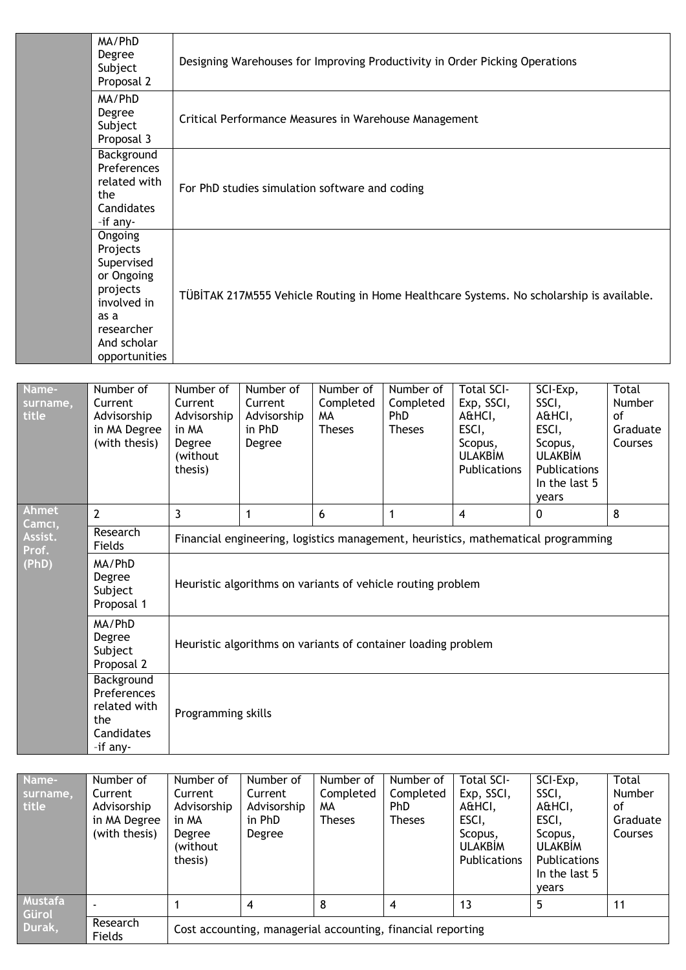| MA/PhD<br>Degree<br>Subject<br>Proposal 2                                                                                        | Designing Warehouses for Improving Productivity in Order Picking Operations              |
|----------------------------------------------------------------------------------------------------------------------------------|------------------------------------------------------------------------------------------|
| MA/PhD<br>Degree<br>Subject<br>Proposal 3                                                                                        | Critical Performance Measures in Warehouse Management                                    |
| Background<br>Preferences<br>related with<br>the<br>Candidates<br>-if any-                                                       | For PhD studies simulation software and coding                                           |
| Ongoing<br>Projects<br>Supervised<br>or Ongoing<br>projects<br>involved in<br>as a<br>researcher<br>And scholar<br>opportunities | TÜBİTAK 217M555 Vehicle Routing in Home Healthcare Systems. No scholarship is available. |

| Name-<br>surname,<br>title | Number of<br>Current<br>Advisorship<br>in MA Degree<br>(with thesis)       | Number of<br>Current<br>Advisorship<br>in MA<br>Degree<br>(without<br>thesis)     | Number of<br>Current<br>Advisorship<br>in PhD<br>Degree | Number of<br>Completed<br>MA.<br><b>Theses</b> | Number of<br>Completed<br><b>PhD</b><br><b>Theses</b> | <b>Total SCI-</b><br>Exp, SSCI,<br>A&HCI,<br>ESCI,<br>Scopus,<br><b>ULAKBİM</b><br>Publications | SCI-Exp,<br>SSCI,<br>A&HCI,<br>ESCI,<br>Scopus,<br><b>ULAKBİM</b><br>Publications<br>In the last 5<br>years | Total<br><b>Number</b><br>οf<br>Graduate<br>Courses |  |  |
|----------------------------|----------------------------------------------------------------------------|-----------------------------------------------------------------------------------|---------------------------------------------------------|------------------------------------------------|-------------------------------------------------------|-------------------------------------------------------------------------------------------------|-------------------------------------------------------------------------------------------------------------|-----------------------------------------------------|--|--|
| <b>Ahmet</b><br>Camcı,     | $\overline{2}$                                                             | 3                                                                                 | 1                                                       | 6                                              | 1                                                     | $\overline{4}$                                                                                  | $\mathbf{0}$                                                                                                | 8                                                   |  |  |
| Assist.<br>Prof.           | Research<br>Fields                                                         | Financial engineering, logistics management, heuristics, mathematical programming |                                                         |                                                |                                                       |                                                                                                 |                                                                                                             |                                                     |  |  |
| (PhD)                      | MA/PhD<br>Degree<br>Subject<br>Proposal 1                                  | Heuristic algorithms on variants of vehicle routing problem                       |                                                         |                                                |                                                       |                                                                                                 |                                                                                                             |                                                     |  |  |
|                            | MA/PhD<br>Degree<br>Subject<br>Proposal 2                                  | Heuristic algorithms on variants of container loading problem                     |                                                         |                                                |                                                       |                                                                                                 |                                                                                                             |                                                     |  |  |
|                            | Background<br>Preferences<br>related with<br>the<br>Candidates<br>-if any- | Programming skills                                                                |                                                         |                                                |                                                       |                                                                                                 |                                                                                                             |                                                     |  |  |

| Name-<br>surname,<br>title        | Number of<br>Current<br>Advisorship<br>in MA Degree<br>(with thesis) | Number of<br>Current<br>Advisorship<br>in MA<br>Degree<br>(without)<br>thesis) | Number of<br>Current<br>Advisorship<br>in PhD<br>Degree | Number of<br>Completed<br>MА<br><b>Theses</b> | Number of<br>Completed<br><b>PhD</b><br><b>Theses</b> | Total SCI-<br>Exp, SSCI,<br>A&HCI,<br>ESCI,<br>Scopus,<br><b>ULAKBIM</b><br>Publications | SCI-Exp,<br>SSCI,<br>A&HCI,<br>ESCI,<br>Scopus,<br><b>ULAKBIM</b><br><b>Publications</b><br>In the last 5<br>vears | Total<br><b>Number</b><br>οf<br>Graduate<br>Courses |  |
|-----------------------------------|----------------------------------------------------------------------|--------------------------------------------------------------------------------|---------------------------------------------------------|-----------------------------------------------|-------------------------------------------------------|------------------------------------------------------------------------------------------|--------------------------------------------------------------------------------------------------------------------|-----------------------------------------------------|--|
| <b>Mustafa</b><br>Gürol<br>Durak, |                                                                      |                                                                                | 4                                                       | 8                                             | 4                                                     | 13                                                                                       | 5                                                                                                                  | 11                                                  |  |
|                                   | Research<br>Fields                                                   | Cost accounting, managerial accounting, financial reporting                    |                                                         |                                               |                                                       |                                                                                          |                                                                                                                    |                                                     |  |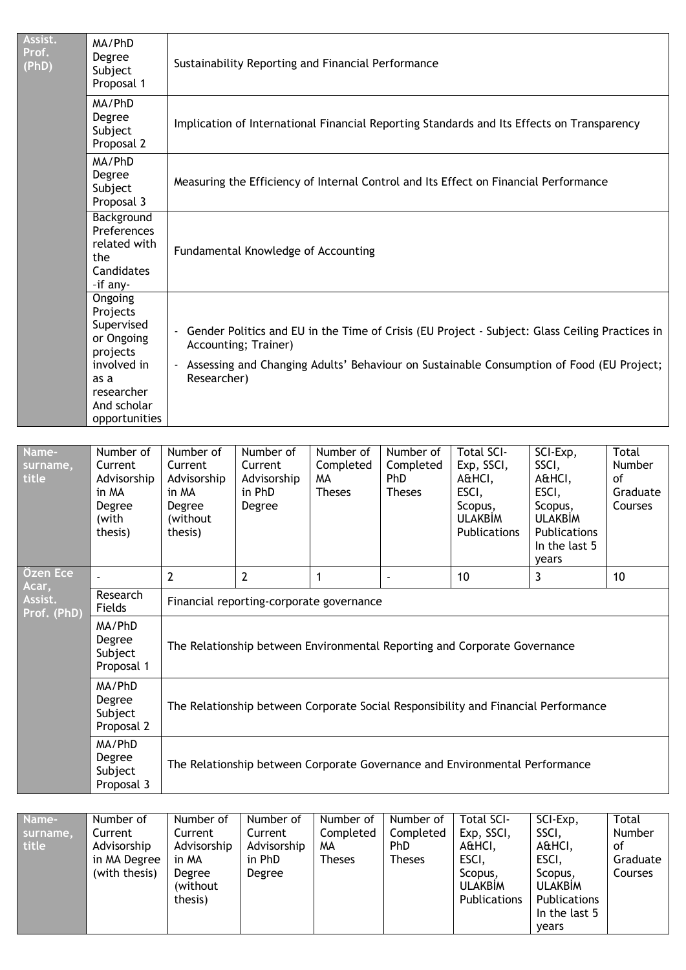| Assist.<br>Prof.<br>(PhD)       | MA/PhD<br>Degree<br>Subject<br>Proposal 1                                                                                         | Sustainability Reporting and Financial Performance                                         |                                                                                                                                                                                                                                     |                                               |                                                |                                                                                                 |                                                                                                             |                                              |  |  |
|---------------------------------|-----------------------------------------------------------------------------------------------------------------------------------|--------------------------------------------------------------------------------------------|-------------------------------------------------------------------------------------------------------------------------------------------------------------------------------------------------------------------------------------|-----------------------------------------------|------------------------------------------------|-------------------------------------------------------------------------------------------------|-------------------------------------------------------------------------------------------------------------|----------------------------------------------|--|--|
|                                 | MA/PhD<br>Degree<br>Subject<br>Proposal 2                                                                                         | Implication of International Financial Reporting Standards and Its Effects on Transparency |                                                                                                                                                                                                                                     |                                               |                                                |                                                                                                 |                                                                                                             |                                              |  |  |
|                                 | MA/PhD<br>Degree<br>Measuring the Efficiency of Internal Control and Its Effect on Financial Performance<br>Subject<br>Proposal 3 |                                                                                            |                                                                                                                                                                                                                                     |                                               |                                                |                                                                                                 |                                                                                                             |                                              |  |  |
|                                 | Background<br>Preferences<br>related with<br>the<br>Candidates<br>-if any-                                                        |                                                                                            | Fundamental Knowledge of Accounting                                                                                                                                                                                                 |                                               |                                                |                                                                                                 |                                                                                                             |                                              |  |  |
|                                 | Ongoing<br>Projects<br>Supervised<br>or Ongoing<br>projects<br>involved in<br>as a<br>researcher<br>And scholar<br>opportunities  |                                                                                            | Gender Politics and EU in the Time of Crisis (EU Project - Subject: Glass Ceiling Practices in<br>Accounting; Trainer)<br>- Assessing and Changing Adults' Behaviour on Sustainable Consumption of Food (EU Project;<br>Researcher) |                                               |                                                |                                                                                                 |                                                                                                             |                                              |  |  |
|                                 |                                                                                                                                   |                                                                                            |                                                                                                                                                                                                                                     |                                               |                                                |                                                                                                 |                                                                                                             |                                              |  |  |
| Name-<br>surname,<br>title      | Number of<br>Current<br>Advisorship<br>in MA<br>Degree<br>(with<br>thesis)                                                        | Number of<br>Current<br>Advisorship<br>in MA<br>Degree<br>(without)<br>thesis)             | Number of<br>Current<br>Advisorship<br>in PhD<br>Degree                                                                                                                                                                             | Number of<br>Completed<br>MА<br><b>Theses</b> | Number of<br>Completed<br>PhD<br><b>Theses</b> | <b>Total SCI-</b><br>Exp, SSCI,<br>A&HCI,<br>ESCI,<br>Scopus,<br><b>ULAKBİM</b><br>Publications | SCI-Exp,<br>SSCI,<br>A&HCI,<br>ESCI,<br>Scopus,<br><b>ULAKBİM</b><br>Publications<br>In the last 5<br>years | Total<br>Number<br>of<br>Graduate<br>Courses |  |  |
| Özen Ece                        |                                                                                                                                   | $\overline{2}$                                                                             | $\overline{2}$                                                                                                                                                                                                                      | $\mathbf{1}$                                  |                                                | 10                                                                                              | 3                                                                                                           | 10                                           |  |  |
| Acar,<br>Assist.<br>Prof. (PhD) | Research<br>Fields                                                                                                                |                                                                                            | Financial reporting-corporate governance                                                                                                                                                                                            |                                               |                                                |                                                                                                 |                                                                                                             |                                              |  |  |
|                                 | MA/PhD<br>Degree<br>Subject<br>Proposal 1                                                                                         |                                                                                            |                                                                                                                                                                                                                                     |                                               |                                                | The Relationship between Environmental Reporting and Corporate Governance                       |                                                                                                             |                                              |  |  |
|                                 | MA/PhD<br>Degree<br>Subject<br>Proposal 2                                                                                         |                                                                                            |                                                                                                                                                                                                                                     |                                               |                                                | The Relationship between Corporate Social Responsibility and Financial Performance              |                                                                                                             |                                              |  |  |
|                                 | MA/PhD<br>Degree<br>Subject<br>Proposal 3                                                                                         |                                                                                            |                                                                                                                                                                                                                                     |                                               |                                                | The Relationship between Corporate Governance and Environmental Performance                     |                                                                                                             |                                              |  |  |

| Name-    | Number of     | Number of   | Number of   | Number of     | Number of     | <b>Total SCI-</b> | SCI-Exp,            | Total    |
|----------|---------------|-------------|-------------|---------------|---------------|-------------------|---------------------|----------|
| surname, | Current       | Current     | Current     | Completed     | Completed     | Exp, SSCI,        | SSCI,               | Number   |
| title    | Advisorship   | Advisorship | Advisorship | MA.           | PhD           | A&HCI,            | A&HCI,              | 0f       |
|          | in MA Degree  | in MA       | in PhD      | <b>Theses</b> | <b>Theses</b> | ESCI,             | ESCI,               | Graduate |
|          | (with thesis) | Degree      | Degree      |               |               | Scopus,           | Scopus.             | Courses  |
|          |               | (without    |             |               |               | <b>ULAKBIM</b>    | <b>ULAKBIM</b>      |          |
|          |               | thesis)     |             |               |               | Publications      | <b>Publications</b> |          |
|          |               |             |             |               |               |                   | In the last 5       |          |
|          |               |             |             |               |               |                   | vears               |          |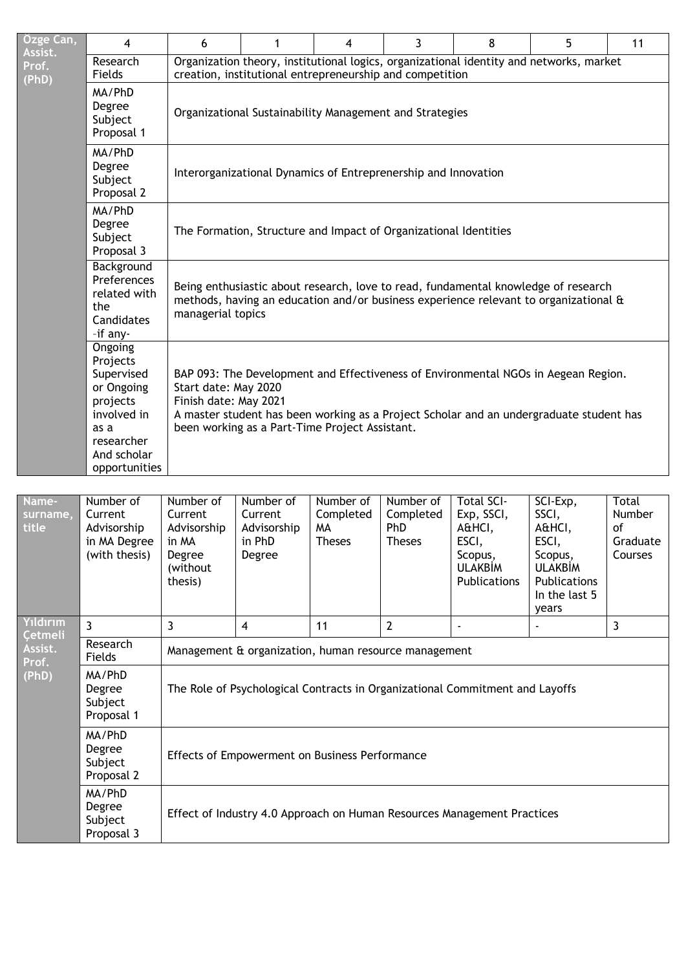| Özge Can,<br>Assist.               | 4                                                                                                                                | 6                                                                                                                                                                                                                                                                                | 1                                                                                                                                                                                               | 4                                             | 3                                                     | 8                                                                                               | 5                                                                                                           | 11                                                  |  |  |  |
|------------------------------------|----------------------------------------------------------------------------------------------------------------------------------|----------------------------------------------------------------------------------------------------------------------------------------------------------------------------------------------------------------------------------------------------------------------------------|-------------------------------------------------------------------------------------------------------------------------------------------------------------------------------------------------|-----------------------------------------------|-------------------------------------------------------|-------------------------------------------------------------------------------------------------|-------------------------------------------------------------------------------------------------------------|-----------------------------------------------------|--|--|--|
| Prof.                              | Research<br>Fields                                                                                                               |                                                                                                                                                                                                                                                                                  | creation, institutional entrepreneurship and competition                                                                                                                                        |                                               |                                                       | Organization theory, institutional logics, organizational identity and networks, market         |                                                                                                             |                                                     |  |  |  |
| (PhD)                              | MA/PhD<br>Degree<br>Subject<br>Proposal 1                                                                                        |                                                                                                                                                                                                                                                                                  | Organizational Sustainability Management and Strategies                                                                                                                                         |                                               |                                                       |                                                                                                 |                                                                                                             |                                                     |  |  |  |
|                                    | MA/PhD<br>Degree<br>Subject<br>Proposal 2                                                                                        |                                                                                                                                                                                                                                                                                  | Interorganizational Dynamics of Entreprenership and Innovation                                                                                                                                  |                                               |                                                       |                                                                                                 |                                                                                                             |                                                     |  |  |  |
|                                    | MA/PhD<br>Degree<br>Subject<br>Proposal 3                                                                                        |                                                                                                                                                                                                                                                                                  | The Formation, Structure and Impact of Organizational Identities                                                                                                                                |                                               |                                                       |                                                                                                 |                                                                                                             |                                                     |  |  |  |
|                                    | Background<br>Preferences<br>related with<br>the<br>Candidates<br>-if any-                                                       |                                                                                                                                                                                                                                                                                  | Being enthusiastic about research, love to read, fundamental knowledge of research<br>methods, having an education and/or business experience relevant to organizational &<br>managerial topics |                                               |                                                       |                                                                                                 |                                                                                                             |                                                     |  |  |  |
|                                    | Ongoing<br>Projects<br>Supervised<br>or Ongoing<br>projects<br>involved in<br>as a<br>researcher<br>And scholar<br>opportunities | BAP 093: The Development and Effectiveness of Environmental NGOs in Aegean Region.<br>Start date: May 2020<br>Finish date: May 2021<br>A master student has been working as a Project Scholar and an undergraduate student has<br>been working as a Part-Time Project Assistant. |                                                                                                                                                                                                 |                                               |                                                       |                                                                                                 |                                                                                                             |                                                     |  |  |  |
|                                    |                                                                                                                                  |                                                                                                                                                                                                                                                                                  |                                                                                                                                                                                                 |                                               |                                                       |                                                                                                 |                                                                                                             |                                                     |  |  |  |
| Name-<br>surname,<br>title         | Number of<br>Current<br>Advisorship<br>in MA Degree<br>(with thesis)                                                             | Number of<br>Current<br>Advisorship<br>in MA<br>Degree<br>(without<br>thesis)                                                                                                                                                                                                    | Number of<br>Current<br>Advisorship<br>in PhD<br>Degree                                                                                                                                         | Number of<br>Completed<br>MА<br><b>Theses</b> | Number of<br>Completed<br><b>PhD</b><br><b>Theses</b> | <b>Total SCI-</b><br>Exp, SSCI,<br>A&HCI,<br>ESCI,<br>Scopus,<br><b>ULAKBİM</b><br>Publications | SCI-Exp,<br>SSCI,<br>A&HCI,<br>ESCI,<br>Scopus,<br><b>ULAKBIM</b><br>Publications<br>In the last 5<br>years | <b>Total</b><br>Number<br>οf<br>Graduate<br>Courses |  |  |  |
| Yıldırım                           | 3                                                                                                                                | 3                                                                                                                                                                                                                                                                                | 4                                                                                                                                                                                               | 11                                            | $\mathbf{2}$                                          |                                                                                                 |                                                                                                             | 3                                                   |  |  |  |
| <b>Cetmeli</b><br>Assist.<br>Prof. | Research<br>Fields                                                                                                               |                                                                                                                                                                                                                                                                                  | Management & organization, human resource management                                                                                                                                            |                                               |                                                       |                                                                                                 |                                                                                                             |                                                     |  |  |  |
| (PhD)                              | MA/PhD<br>Degree<br>Subject<br>Proposal 1                                                                                        |                                                                                                                                                                                                                                                                                  | The Role of Psychological Contracts in Organizational Commitment and Layoffs                                                                                                                    |                                               |                                                       |                                                                                                 |                                                                                                             |                                                     |  |  |  |

Effects of Empowerment on Business Performance

Effect of Industry 4.0 Approach on Human Resources Management Practices

MA/PhD Degree Subject Proposal 2

MA/PhD Degree Subject Proposal 3